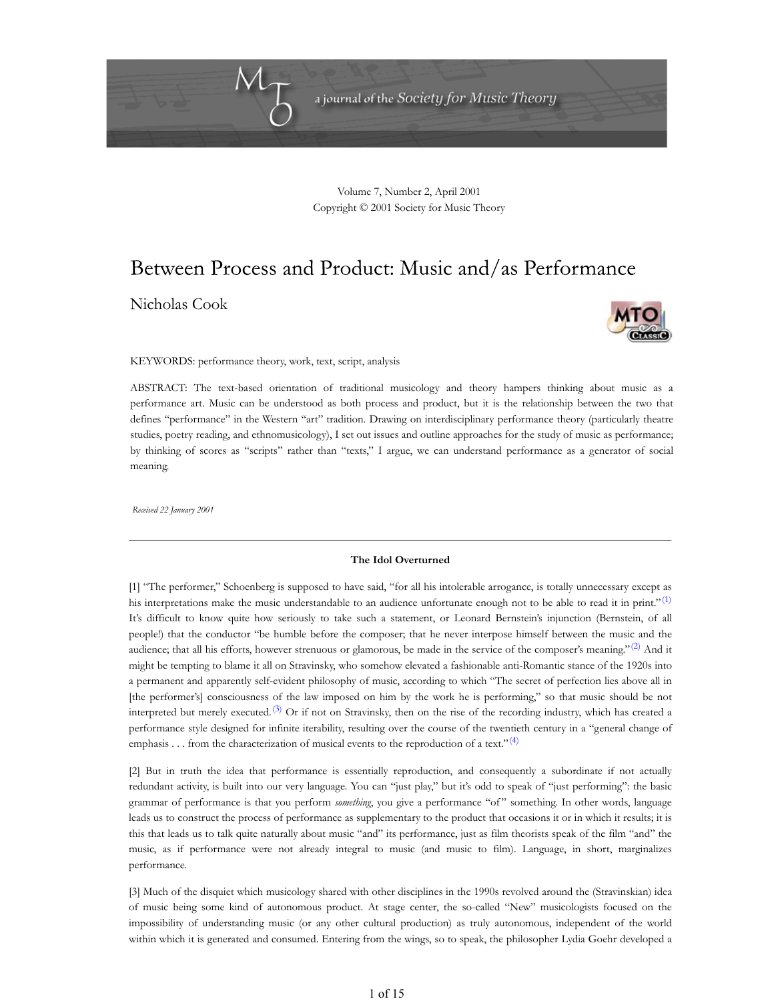

Volume 7, Number 2, April 2001 Copyright © 2001 Society for Music Theory

# Between Process and Product: Music and/as Performance

Nicholas Cook



KEYWORDS: performance theory, work, text, script, analysis

ABSTRACT: The text-based orientation of traditional musicology and theory hampers thinking about music as a performance art. Music can be understood as both process and product, but it is the relationship between the two that defines "performance" in the Western "art" tradition. Drawing on interdisciplinary performance theory (particularly theatre studies, poetry reading, and ethnomusicology), I set out issues and outline approaches for the study of music as performance; by thinking of scores as "scripts" rather than "texts," I argue, we can understand performance as a generator of social meaning.

*Received 22 January 2001*

#### **The Idol Overturned**

[1] "The performer," Schoenberg is supposed to have said, "for all his intolerable arrogance, is totally unnecessary except as his interpretations make the music understandable to an audience unfortunate enough not to be able to read it in print." $^{(1)}$ It's difficult to know quite how seriously to take such a statement, or Leonard Bernstein's injunction (Bernstein, of all people!) that the conductor "be humble before the composer; that he never interpose himself between the music and the audience; that all his efforts, however strenuous or glamorous, be made in the service of the composer's meaning."<sup>(2)</sup> And it might be tempting to blame it all on Stravinsky, who somehow elevated a fashionable anti-Romantic stance of the 1920s into a permanent and apparently self-evident philosophy of music, according to which "The secret of perfection lies above all in [the performer's] consciousness of the law imposed on him by the work he is performing," so that music should be not interpreted but merely executed.<sup>(3)</sup> Or if not on Stravinsky, then on the rise of the recording industry, which has created a performance style designed for infinite iterability, resulting over the course of the twentieth century in a "general change of emphasis . . . from the characterization of musical events to the reproduction of a text." $(4)$ 

[2] But in truth the idea that performance is essentially reproduction, and consequently a subordinate if not actually redundant activity, is built into our very language. You can "just play," but it's odd to speak of "just performing": the basic grammar of performance is that you perform *something*, you give a performance "of " something. In other words, language leads us to construct the process of performance as supplementary to the product that occasions it or in which it results; it is this that leads us to talk quite naturally about music "and" its performance, just as film theorists speak of the film "and" the music, as if performance were not already integral to music (and music to film). Language, in short, marginalizes performance.

[3] Much of the disquiet which musicology shared with other disciplines in the 1990s revolved around the (Stravinskian) idea of music being some kind of autonomous product. At stage center, the so-called "New" musicologists focused on the impossibility of understanding music (or any other cultural production) as truly autonomous, independent of the world within which it is generated and consumed. Entering from the wings, so to speak, the philosopher Lydia Goehr developed a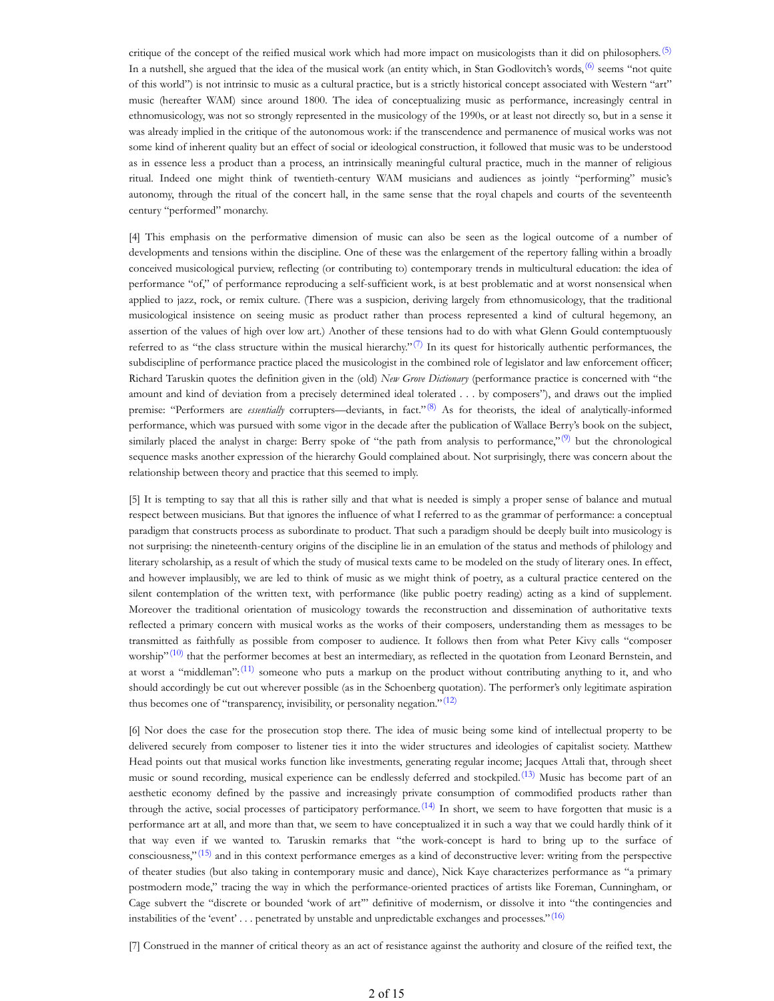critique of the concept of the reified musical work which had more impact on musicologists than it did on philosophers.<sup>(5)</sup> In a nutshell, she argued that the idea of the musical work (an entity which, in Stan Godlovitch's words,<sup>(6)</sup> seems "not quite of this world") is not intrinsic to music as a cultural practice, but is a strictly historical concept associated with Western "art" music (hereafter WAM) since around 1800. The idea of conceptualizing music as performance, increasingly central in ethnomusicology, was not so strongly represented in the musicology of the 1990s, or at least not directly so, but in a sense it was already implied in the critique of the autonomous work: if the transcendence and permanence of musical works was not some kind of inherent quality but an effect of social or ideological construction, it followed that music was to be understood as in essence less a product than a process, an intrinsically meaningful cultural practice, much in the manner of religious ritual. Indeed one might think of twentieth-century WAM musicians and audiences as jointly "performing" music's autonomy, through the ritual of the concert hall, in the same sense that the royal chapels and courts of the seventeenth century "performed" monarchy.

[4] This emphasis on the performative dimension of music can also be seen as the logical outcome of a number of developments and tensions within the discipline. One of these was the enlargement of the repertory falling within a broadly conceived musicological purview, reflecting (or contributing to) contemporary trends in multicultural education: the idea of performance "of," of performance reproducing a self-sufficient work, is at best problematic and at worst nonsensical when applied to jazz, rock, or remix culture. (There was a suspicion, deriving largely from ethnomusicology, that the traditional musicological insistence on seeing music as product rather than process represented a kind of cultural hegemony, an assertion of the values of high over low art.) Another of these tensions had to do with what Glenn Gould contemptuously referred to as "the class structure within the musical hierarchy." $\sqrt{7}$  In its quest for historically authentic performances, the subdiscipline of performance practice placed the musicologist in the combined role of legislator and law enforcement officer; Richard Taruskin quotes the definition given in the (old) *New Grove Dictionary* (performance practice is concerned with "the amount and kind of deviation from a precisely determined ideal tolerated . . . by composers"), and draws out the implied premise: "Performers are *essentially* corrupters—deviants, in fact."(8) As for theorists, the ideal of analytically-informed performance, which was pursued with some vigor in the decade after the publication of Wallace Berry's book on the subject, similarly placed the analyst in charge: Berry spoke of "the path from analysis to performance," $(9)$  but the chronological sequence masks another expression of the hierarchy Gould complained about. Not surprisingly, there was concern about the relationship between theory and practice that this seemed to imply.

[5] It is tempting to say that all this is rather silly and that what is needed is simply a proper sense of balance and mutual respect between musicians. But that ignores the influence of what I referred to as the grammar of performance: a conceptual paradigm that constructs process as subordinate to product. That such a paradigm should be deeply built into musicology is not surprising: the nineteenth-century origins of the discipline lie in an emulation of the status and methods of philology and literary scholarship, as a result of which the study of musical texts came to be modeled on the study of literary ones. In effect, and however implausibly, we are led to think of music as we might think of poetry, as a cultural practice centered on the silent contemplation of the written text, with performance (like public poetry reading) acting as a kind of supplement. Moreover the traditional orientation of musicology towards the reconstruction and dissemination of authoritative texts reflected a primary concern with musical works as the works of their composers, understanding them as messages to be transmitted as faithfully as possible from composer to audience. It follows then from what Peter Kivy calls "composer worship" $(10)$  that the performer becomes at best an intermediary, as reflected in the quotation from Leonard Bernstein, and at worst a "middleman": $(11)$  someone who puts a markup on the product without contributing anything to it, and who should accordingly be cut out wherever possible (as in the Schoenberg quotation). The performer's only legitimate aspiration thus becomes one of "transparency, invisibility, or personality negation." $(12)$ 

[6] Nor does the case for the prosecution stop there. The idea of music being some kind of intellectual property to be delivered securely from composer to listener ties it into the wider structures and ideologies of capitalist society. Matthew Head points out that musical works function like investments, generating regular income; Jacques Attali that, through sheet music or sound recording, musical experience can be endlessly deferred and stockpiled.<sup>(13)</sup> Music has become part of an aesthetic economy defined by the passive and increasingly private consumption of commodified products rather than through the active, social processes of participatory performance.<sup>(14)</sup> In short, we seem to have forgotten that music is a performance art at all, and more than that, we seem to have conceptualized it in such a way that we could hardly think of it that way even if we wanted to. Taruskin remarks that "the work-concept is hard to bring up to the surface of consciousness," $(15)$  and in this context performance emerges as a kind of deconstructive lever: writing from the perspective of theater studies (but also taking in contemporary music and dance), Nick Kaye characterizes performance as "a primary postmodern mode," tracing the way in which the performance-oriented practices of artists like Foreman, Cunningham, or Cage subvert the "discrete or bounded 'work of art'" definitive of modernism, or dissolve it into "the contingencies and instabilities of the 'event' . . . penetrated by unstable and unpredictable exchanges and processes."<sup>(16)</sup>

[7] Construed in the manner of critical theory as an act of resistance against the authority and closure of the reified text, the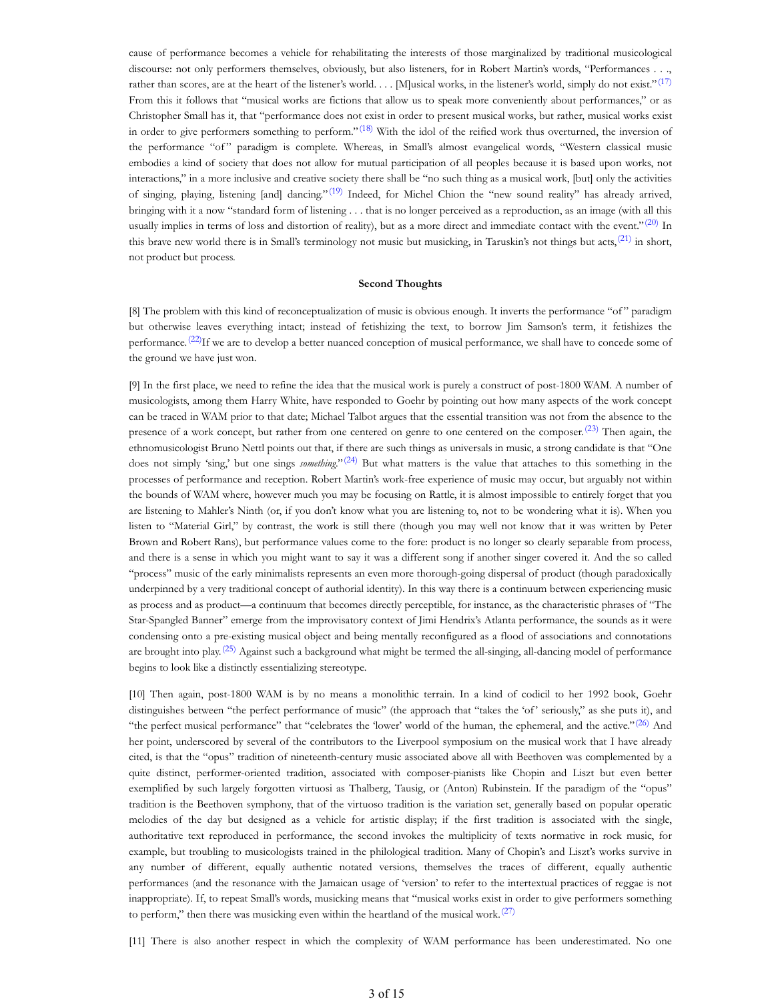cause of performance becomes a vehicle for rehabilitating the interests of those marginalized by traditional musicological discourse: not only performers themselves, obviously, but also listeners, for in Robert Martin's words, "Performances . . ., rather than scores, are at the heart of the listener's world. . . [M]usical works, in the listener's world, simply do not exist."<sup>(17)</sup> From this it follows that "musical works are fictions that allow us to speak more conveniently about performances," or as Christopher Small has it, that "performance does not exist in order to present musical works, but rather, musical works exist in order to give performers something to perform."<sup>(18)</sup> With the idol of the reified work thus overturned, the inversion of the performance "of" paradigm is complete. Whereas, in Small's almost evangelical words, "Western classical music embodies a kind of society that does not allow for mutual participation of all peoples because it is based upon works, not interactions," in a more inclusive and creative society there shall be "no such thing as a musical work, [but] only the activities of singing, playing, listening [and] dancing."<sup>(19)</sup> Indeed, for Michel Chion the "new sound reality" has already arrived, bringing with it a now "standard form of listening . . . that is no longer perceived as a reproduction, as an image (with all this usually implies in terms of loss and distortion of reality), but as a more direct and immediate contact with the event."<sup>(20)</sup> In this brave new world there is in Small's terminology not music but musicking, in Taruskin's not things but acts, $^{(21)}$  in short, not product but process.

## **Second Thoughts**

[8] The problem with this kind of reconceptualization of music is obvious enough. It inverts the performance "of " paradigm but otherwise leaves everything intact; instead of fetishizing the text, to borrow Jim Samson's term, it fetishizes the performance.<sup>(22)</sup>If we are to develop a better nuanced conception of musical performance, we shall have to concede some of the ground we have just won.

[9] In the first place, we need to refine the idea that the musical work is purely a construct of post-1800 WAM. A number of musicologists, among them Harry White, have responded to Goehr by pointing out how many aspects of the work concept can be traced in WAM prior to that date; Michael Talbot argues that the essential transition was not from the absence to the presence of a work concept, but rather from one centered on genre to one centered on the composer.<sup>(23)</sup> Then again, the ethnomusicologist Bruno Nettl points out that, if there are such things as universals in music, a strong candidate is that "One does not simply 'sing,' but one sings *something*."(24) But what matters is the value that attaches to this something in the processes of performance and reception. Robert Martin's work-free experience of music may occur, but arguably not within the bounds of WAM where, however much you may be focusing on Rattle, it is almost impossible to entirely forget that you are listening to Mahler's Ninth (or, if you don't know what you are listening to, not to be wondering what it is). When you listen to "Material Girl," by contrast, the work is still there (though you may well not know that it was written by Peter Brown and Robert Rans), but performance values come to the fore: product is no longer so clearly separable from process, and there is a sense in which you might want to say it was a different song if another singer covered it. And the so called "process" music of the early minimalists represents an even more thorough-going dispersal of product (though paradoxically underpinned by a very traditional concept of authorial identity). In this way there is a continuum between experiencing music as process and as product—a continuum that becomes directly perceptible, for instance, as the characteristic phrases of "The Star-Spangled Banner" emerge from the improvisatory context of Jimi Hendrix's Atlanta performance, the sounds as it were condensing onto a pre-existing musical object and being mentally reconfigured as a flood of associations and connotations are brought into play.<sup>(25)</sup> Against such a background what might be termed the all-singing, all-dancing model of performance begins to look like a distinctly essentializing stereotype.

[10] Then again, post-1800 WAM is by no means a monolithic terrain. In a kind of codicil to her 1992 book, Goehr distinguishes between "the perfect performance of music" (the approach that "takes the 'of' seriously," as she puts it), and "the perfect musical performance" that "celebrates the 'lower' world of the human, the ephemeral, and the active." $(26)$  And her point, underscored by several of the contributors to the Liverpool symposium on the musical work that I have already cited, is that the "opus" tradition of nineteenth-century music associated above all with Beethoven was complemented by a quite distinct, performer-oriented tradition, associated with composer-pianists like Chopin and Liszt but even better exemplified by such largely forgotten virtuosi as Thalberg, Tausig, or (Anton) Rubinstein. If the paradigm of the "opus" tradition is the Beethoven symphony, that of the virtuoso tradition is the variation set, generally based on popular operatic melodies of the day but designed as a vehicle for artistic display; if the first tradition is associated with the single, authoritative text reproduced in performance, the second invokes the multiplicity of texts normative in rock music, for example, but troubling to musicologists trained in the philological tradition. Many of Chopin's and Liszt's works survive in any number of different, equally authentic notated versions, themselves the traces of different, equally authentic performances (and the resonance with the Jamaican usage of 'version' to refer to the intertextual practices of reggae is not inappropriate). If, to repeat Small's words, musicking means that "musical works exist in order to give performers something to perform," then there was musicking even within the heartland of the musical work.<sup> $(27)$ </sup>

[11] There is also another respect in which the complexity of WAM performance has been underestimated. No one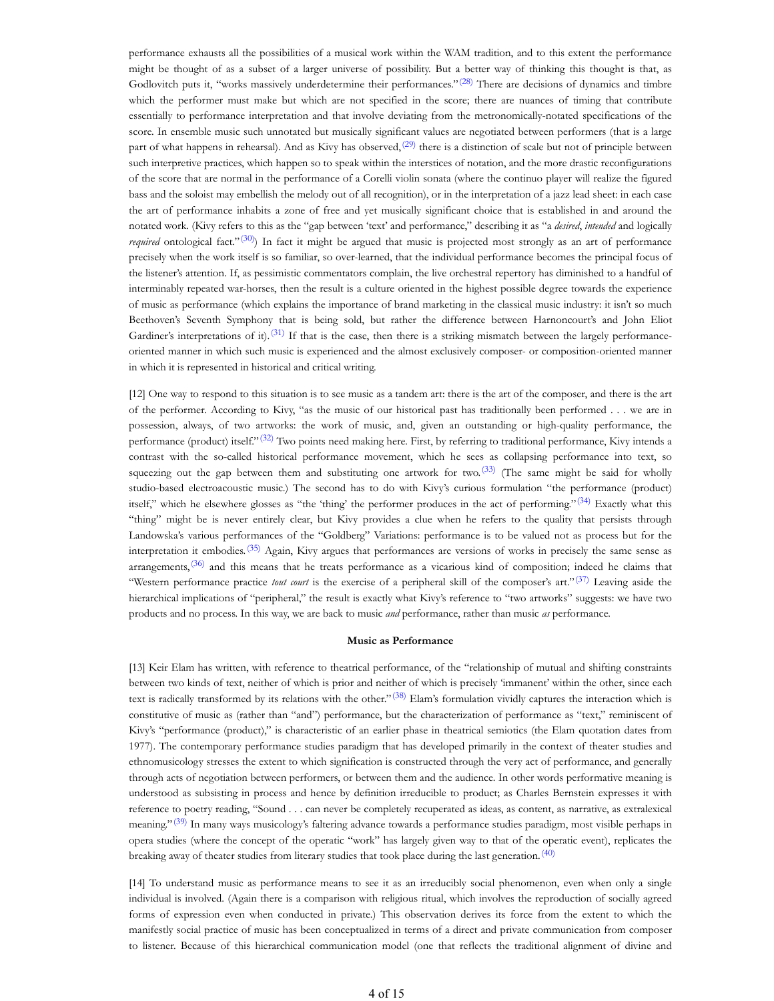performance exhausts all the possibilities of a musical work within the WAM tradition, and to this extent the performance might be thought of as a subset of a larger universe of possibility. But a better way of thinking this thought is that, as Godlovitch puts it, "works massively underdetermine their performances."<sup>(28)</sup> There are decisions of dynamics and timbre which the performer must make but which are not specified in the score; there are nuances of timing that contribute essentially to performance interpretation and that involve deviating from the metronomically-notated specifications of the score. In ensemble music such unnotated but musically significant values are negotiated between performers (that is a large part of what happens in rehearsal). And as Kivy has observed, $(29)$  there is a distinction of scale but not of principle between such interpretive practices, which happen so to speak within the interstices of notation, and the more drastic reconfigurations of the score that are normal in the performance of a Corelli violin sonata (where the continuo player will realize the figured bass and the soloist may embellish the melody out of all recognition), or in the interpretation of a jazz lead sheet: in each case the art of performance inhabits a zone of free and yet musically significant choice that is established in and around the notated work. (Kivy refers to this as the "gap between 'text' and performance," describing it as "a *desired*, *intended* and logically *required* ontological fact."<sup>(30)</sup>) In fact it might be argued that music is projected most strongly as an art of performance precisely when the work itself is so familiar, so over-learned, that the individual performance becomes the principal focus of the listener's attention. If, as pessimistic commentators complain, the live orchestral repertory has diminished to a handful of interminably repeated war-horses, then the result is a culture oriented in the highest possible degree towards the experience of music as performance (which explains the importance of brand marketing in the classical music industry: it isn't so much Beethoven's Seventh Symphony that is being sold, but rather the difference between Harnoncourt's and John Eliot Gardiner's interpretations of it).<sup>(31)</sup> If that is the case, then there is a striking mismatch between the largely performanceoriented manner in which such music is experienced and the almost exclusively composer- or composition-oriented manner in which it is represented in historical and critical writing.

[12] One way to respond to this situation is to see music as a tandem art: there is the art of the composer, and there is the art of the performer. According to Kivy, "as the music of our historical past has traditionally been performed . . . we are in possession, always, of two artworks: the work of music, and, given an outstanding or high-quality performance, the performance (product) itself."<sup>(32)</sup> Two points need making here. First, by referring to traditional performance, Kivy intends a contrast with the so-called historical performance movement, which he sees as collapsing performance into text, so squeezing out the gap between them and substituting one artwork for two.<sup>(33)</sup> (The same might be said for wholly studio-based electroacoustic music.) The second has to do with Kivy's curious formulation "the performance (product) itself," which he elsewhere glosses as "the 'thing' the performer produces in the act of performing." $(34)$  Exactly what this "thing" might be is never entirely clear, but Kivy provides a clue when he refers to the quality that persists through Landowska's various performances of the "Goldberg" Variations: performance is to be valued not as process but for the interpretation it embodies.<sup>(35)</sup> Again, Kivy argues that performances are versions of works in precisely the same sense as arrangements, $(36)$  and this means that he treats performance as a vicarious kind of composition; indeed he claims that "Western performance practice *tout court* is the exercise of a peripheral skill of the composer's art."(37) Leaving aside the hierarchical implications of "peripheral," the result is exactly what Kivy's reference to "two artworks" suggests: we have two products and no process. In this way, we are back to music *and* performance, rather than music *as* performance.

#### **Music as Performance**

[13] Keir Elam has written, with reference to theatrical performance, of the "relationship of mutual and shifting constraints between two kinds of text, neither of which is prior and neither of which is precisely 'immanent' within the other, since each text is radically transformed by its relations with the other." $(38)$  Elam's formulation vividly captures the interaction which is constitutive of music as (rather than "and") performance, but the characterization of performance as "text," reminiscent of Kivy's "performance (product)," is characteristic of an earlier phase in theatrical semiotics (the Elam quotation dates from 1977). The contemporary performance studies paradigm that has developed primarily in the context of theater studies and ethnomusicology stresses the extent to which signification is constructed through the very act of performance, and generally through acts of negotiation between performers, or between them and the audience. In other words performative meaning is understood as subsisting in process and hence by definition irreducible to product; as Charles Bernstein expresses it with reference to poetry reading, "Sound . . . can never be completely recuperated as ideas, as content, as narrative, as extralexical meaning."<sup>(39)</sup> In many ways musicology's faltering advance towards a performance studies paradigm, most visible perhaps in opera studies (where the concept of the operatic "work" has largely given way to that of the operatic event), replicates the breaking away of theater studies from literary studies that took place during the last generation.<sup>(40)</sup>

[14] To understand music as performance means to see it as an irreducibly social phenomenon, even when only a single individual is involved. (Again there is a comparison with religious ritual, which involves the reproduction of socially agreed forms of expression even when conducted in private.) This observation derives its force from the extent to which the manifestly social practice of music has been conceptualized in terms of a direct and private communication from composer to listener. Because of this hierarchical communication model (one that reflects the traditional alignment of divine and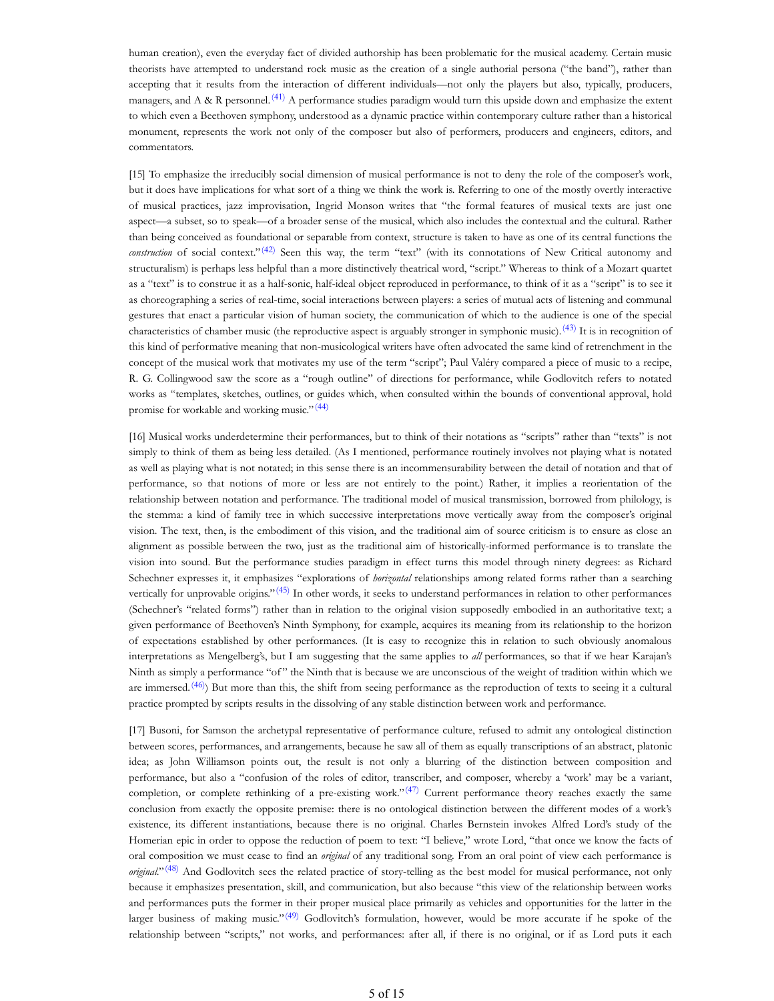human creation), even the everyday fact of divided authorship has been problematic for the musical academy. Certain music theorists have attempted to understand rock music as the creation of a single authorial persona ("the band"), rather than accepting that it results from the interaction of different individuals—not only the players but also, typically, producers, managers, and A & R personnel.<sup>(41)</sup> A performance studies paradigm would turn this upside down and emphasize the extent to which even a Beethoven symphony, understood as a dynamic practice within contemporary culture rather than a historical monument, represents the work not only of the composer but also of performers, producers and engineers, editors, and commentators.

[15] To emphasize the irreducibly social dimension of musical performance is not to deny the role of the composer's work, but it does have implications for what sort of a thing we think the work is. Referring to one of the mostly overtly interactive of musical practices, jazz improvisation, Ingrid Monson writes that "the formal features of musical texts are just one aspect—a subset, so to speak—of a broader sense of the musical, which also includes the contextual and the cultural. Rather than being conceived as foundational or separable from context, structure is taken to have as one of its central functions the *construction* of social context."<sup>(42)</sup> Seen this way, the term "text" (with its connotations of New Critical autonomy and structuralism) is perhaps less helpful than a more distinctively theatrical word, "script." Whereas to think of a Mozart quartet as a "text" is to construe it as a half-sonic, half-ideal object reproduced in performance, to think of it as a "script" is to see it as choreographing a series of real-time, social interactions between players: a series of mutual acts of listening and communal gestures that enact a particular vision of human society, the communication of which to the audience is one of the special characteristics of chamber music (the reproductive aspect is arguably stronger in symphonic music).<sup>(43)</sup> It is in recognition of this kind of performative meaning that non-musicological writers have often advocated the same kind of retrenchment in the concept of the musical work that motivates my use of the term "script"; Paul Valéry compared a piece of music to a recipe, R. G. Collingwood saw the score as a "rough outline" of directions for performance, while Godlovitch refers to notated works as "templates, sketches, outlines, or guides which, when consulted within the bounds of conventional approval, hold promise for workable and working music."<sup>(44)</sup>

[16] Musical works underdetermine their performances, but to think of their notations as "scripts" rather than "texts" is not simply to think of them as being less detailed. (As I mentioned, performance routinely involves not playing what is notated as well as playing what is not notated; in this sense there is an incommensurability between the detail of notation and that of performance, so that notions of more or less are not entirely to the point.) Rather, it implies a reorientation of the relationship between notation and performance. The traditional model of musical transmission, borrowed from philology, is the stemma: a kind of family tree in which successive interpretations move vertically away from the composer's original vision. The text, then, is the embodiment of this vision, and the traditional aim of source criticism is to ensure as close an alignment as possible between the two, just as the traditional aim of historically-informed performance is to translate the vision into sound. But the performance studies paradigm in effect turns this model through ninety degrees: as Richard Schechner expresses it, it emphasizes "explorations of *horizontal* relationships among related forms rather than a searching vertically for unprovable origins." $(45)$  In other words, it seeks to understand performances in relation to other performances (Schechner's "related forms") rather than in relation to the original vision supposedly embodied in an authoritative text; a given performance of Beethoven's Ninth Symphony, for example, acquires its meaning from its relationship to the horizon of expectations established by other performances. (It is easy to recognize this in relation to such obviously anomalous interpretations as Mengelberg's, but I am suggesting that the same applies to *all* performances, so that if we hear Karajan's Ninth as simply a performance "of " the Ninth that is because we are unconscious of the weight of tradition within which we are immersed.<sup>(46)</sup>) But more than this, the shift from seeing performance as the reproduction of texts to seeing it a cultural practice prompted by scripts results in the dissolving of any stable distinction between work and performance.

[17] Busoni, for Samson the archetypal representative of performance culture, refused to admit any ontological distinction between scores, performances, and arrangements, because he saw all of them as equally transcriptions of an abstract, platonic idea; as John Williamson points out, the result is not only a blurring of the distinction between composition and performance, but also a "confusion of the roles of editor, transcriber, and composer, whereby a 'work' may be a variant, completion, or complete rethinking of a pre-existing work." $(47)$  Current performance theory reaches exactly the same conclusion from exactly the opposite premise: there is no ontological distinction between the different modes of a work's existence, its different instantiations, because there is no original. Charles Bernstein invokes Alfred Lord's study of the Homerian epic in order to oppose the reduction of poem to text: "I believe," wrote Lord, "that once we know the facts of oral composition we must cease to find an *original* of any traditional song. From an oral point of view each performance is *original*."<sup>(48)</sup> And Godlovitch sees the related practice of story-telling as the best model for musical performance, not only because it emphasizes presentation, skill, and communication, but also because "this view of the relationship between works and performances puts the former in their proper musical place primarily as vehicles and opportunities for the latter in the larger business of making music."<sup>(49)</sup> Godlovitch's formulation, however, would be more accurate if he spoke of the relationship between "scripts," not works, and performances: after all, if there is no original, or if as Lord puts it each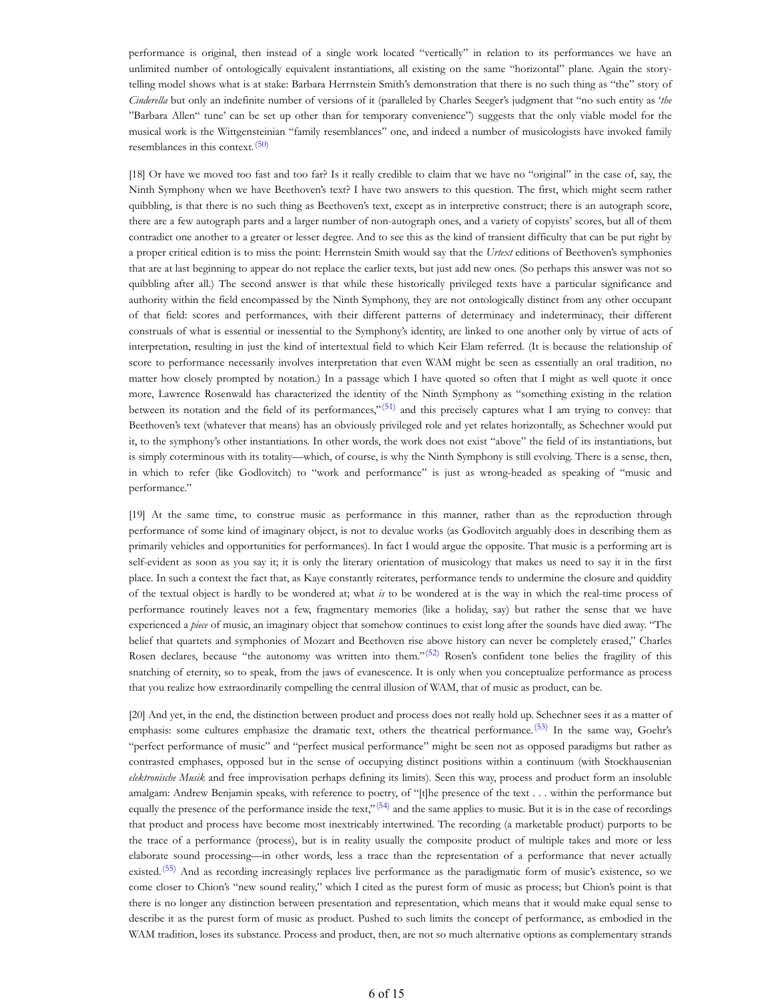performance is original, then instead of a single work located "vertically" in relation to its performances we have an unlimited number of ontologically equivalent instantiations, all existing on the same "horizontal" plane. Again the storytelling model shows what is at stake: Barbara Herrnstein Smith's demonstration that there is no such thing as "the" story of *Cinderella* but only an indefinite number of versions of it (paralleled by Charles Seeger's judgment that "no such entity as '*the* "Barbara Allen" tune' can be set up other than for temporary convenience") suggests that the only viable model for the musical work is the Wittgensteinian "family resemblances" one, and indeed a number of musicologists have invoked family resemblances in this context.<sup>(50)</sup>

[18] Or have we moved too fast and too far? Is it really credible to claim that we have no "original" in the case of, say, the Ninth Symphony when we have Beethoven's text? I have two answers to this question. The first, which might seem rather quibbling, is that there is no such thing as Beethoven's text, except as in interpretive construct; there is an autograph score, there are a few autograph parts and a larger number of non-autograph ones, and a variety of copyists' scores, but all of them contradict one another to a greater or lesser degree. And to see this as the kind of transient difficulty that can be put right by a proper critical edition is to miss the point: Herrnstein Smith would say that the *Urtext* editions of Beethoven's symphonies that are at last beginning to appear do not replace the earlier texts, but just add new ones. (So perhaps this answer was not so quibbling after all.) The second answer is that while these historically privileged texts have a particular significance and authority within the field encompassed by the Ninth Symphony, they are not ontologically distinct from any other occupant of that field: scores and performances, with their different patterns of determinacy and indeterminacy, their different construals of what is essential or inessential to the Symphony's identity, are linked to one another only by virtue of acts of interpretation, resulting in just the kind of intertextual field to which Keir Elam referred. (It is because the relationship of score to performance necessarily involves interpretation that even WAM might be seen as essentially an oral tradition, no matter how closely prompted by notation.) In a passage which I have quoted so often that I might as well quote it once more, Lawrence Rosenwald has characterized the identity of the Ninth Symphony as "something existing in the relation between its notation and the field of its performances," $(51)$  and this precisely captures what I am trying to convey: that Beethoven's text (whatever that means) has an obviously privileged role and yet relates horizontally, as Schechner would put it, to the symphony's other instantiations. In other words, the work does not exist "above" the field of its instantiations, but is simply coterminous with its totality—which, of course, is why the Ninth Symphony is still evolving. There is a sense, then, in which to refer (like Godlovitch) to "work and performance" is just as wrong-headed as speaking of "music and performance."

[19] At the same time, to construe music as performance in this manner, rather than as the reproduction through performance of some kind of imaginary object, is not to devalue works (as Godlovitch arguably does in describing them as primarily vehicles and opportunities for performances). In fact I would argue the opposite. That music is a performing art is self-evident as soon as you say it; it is only the literary orientation of musicology that makes us need to say it in the first place. In such a context the fact that, as Kaye constantly reiterates, performance tends to undermine the closure and quiddity of the textual object is hardly to be wondered at; what *is* to be wondered at is the way in which the real-time process of performance routinely leaves not a few, fragmentary memories (like a holiday, say) but rather the sense that we have experienced a *piece* of music, an imaginary object that somehow continues to exist long after the sounds have died away. "The belief that quartets and symphonies of Mozart and Beethoven rise above history can never be completely erased," Charles Rosen declares, because "the autonomy was written into them."<sup>(52)</sup> Rosen's confident tone belies the fragility of this snatching of eternity, so to speak, from the jaws of evanescence. It is only when you conceptualize performance as process that you realize how extraordinarily compelling the central illusion of WAM, that of music as product, can be.

[20] And yet, in the end, the distinction between product and process does not really hold up. Schechner sees it as a matter of emphasis: some cultures emphasize the dramatic text, others the theatrical performance.<sup>(53)</sup> In the same way, Goehr's "perfect performance of music" and "perfect musical performance" might be seen not as opposed paradigms but rather as contrasted emphases, opposed but in the sense of occupying distinct positions within a continuum (with Stockhausenian *elektronische Musik* and free improvisation perhaps defining its limits). Seen this way, process and product form an insoluble amalgam: Andrew Benjamin speaks, with reference to poetry, of "[t]he presence of the text . . . within the performance but equally the presence of the performance inside the text,"<sup>(54)</sup> and the same applies to music. But it is in the case of recordings that product and process have become most inextricably intertwined. The recording (a marketable product) purports to be the trace of a performance (process), but is in reality usually the composite product of multiple takes and more or less elaborate sound processing—in other words, less a trace than the representation of a performance that never actually existed.<sup>(55)</sup> And as recording increasingly replaces live performance as the paradigmatic form of music's existence, so we come closer to Chion's "new sound reality," which I cited as the purest form of music as process; but Chion's point is that there is no longer any distinction between presentation and representation, which means that it would make equal sense to describe it as the purest form of music as product. Pushed to such limits the concept of performance, as embodied in the WAM tradition, loses its substance. Process and product, then, are not so much alternative options as complementary strands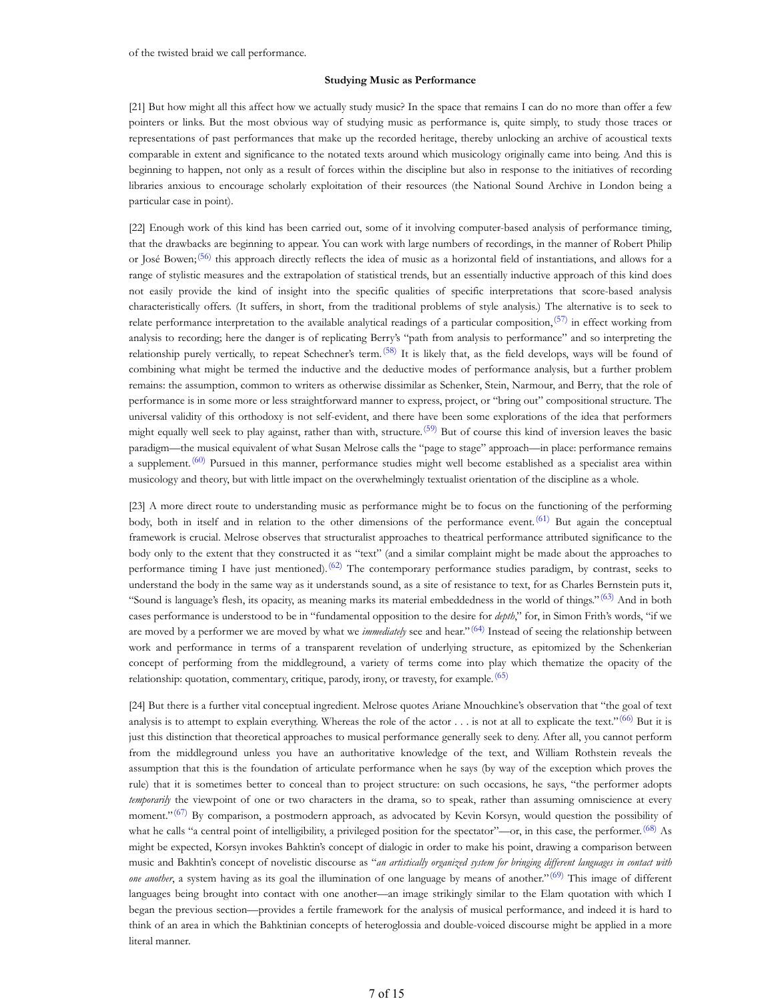#### **Studying Music as Performance**

[21] But how might all this affect how we actually study music? In the space that remains I can do no more than offer a few pointers or links. But the most obvious way of studying music as performance is, quite simply, to study those traces or representations of past performances that make up the recorded heritage, thereby unlocking an archive of acoustical texts comparable in extent and significance to the notated texts around which musicology originally came into being. And this is beginning to happen, not only as a result of forces within the discipline but also in response to the initiatives of recording libraries anxious to encourage scholarly exploitation of their resources (the National Sound Archive in London being a particular case in point).

[22] Enough work of this kind has been carried out, some of it involving computer-based analysis of performance timing, that the drawbacks are beginning to appear. You can work with large numbers of recordings, in the manner of Robert Philip or José Bowen;(56) this approach directly reflects the idea of music as a horizontal field of instantiations, and allows for a range of stylistic measures and the extrapolation of statistical trends, but an essentially inductive approach of this kind does not easily provide the kind of insight into the specific qualities of specific interpretations that score-based analysis characteristically offers. (It suffers, in short, from the traditional problems of style analysis.) The alternative is to seek to relate performance interpretation to the available analytical readings of a particular composition,  $(57)$  in effect working from analysis to recording; here the danger is of replicating Berry's "path from analysis to performance" and so interpreting the relationship purely vertically, to repeat Schechner's term.<sup>(58)</sup> It is likely that, as the field develops, ways will be found of combining what might be termed the inductive and the deductive modes of performance analysis, but a further problem remains: the assumption, common to writers as otherwise dissimilar as Schenker, Stein, Narmour, and Berry, that the role of performance is in some more or less straightforward manner to express, project, or "bring out" compositional structure. The universal validity of this orthodoxy is not self-evident, and there have been some explorations of the idea that performers might equally well seek to play against, rather than with, structure.<sup>(59)</sup> But of course this kind of inversion leaves the basic paradigm—the musical equivalent of what Susan Melrose calls the "page to stage" approach—in place: performance remains a supplement.<sup>(60)</sup> Pursued in this manner, performance studies might well become established as a specialist area within musicology and theory, but with little impact on the overwhelmingly textualist orientation of the discipline as a whole.

[23] A more direct route to understanding music as performance might be to focus on the functioning of the performing body, both in itself and in relation to the other dimensions of the performance event.<sup>(61)</sup> But again the conceptual framework is crucial. Melrose observes that structuralist approaches to theatrical performance attributed significance to the body only to the extent that they constructed it as "text" (and a similar complaint might be made about the approaches to performance timing I have just mentioned).<sup>(62)</sup> The contemporary performance studies paradigm, by contrast, seeks to understand the body in the same way as it understands sound, as a site of resistance to text, for as Charles Bernstein puts it, "Sound is language's flesh, its opacity, as meaning marks its material embeddedness in the world of things." $(63)$  And in both cases performance is understood to be in "fundamental opposition to the desire for *depth*," for, in Simon Frith's words, "if we are moved by a performer we are moved by what we *immediately* see and hear."<sup>(64)</sup> Instead of seeing the relationship between work and performance in terms of a transparent revelation of underlying structure, as epitomized by the Schenkerian concept of performing from the middleground, a variety of terms come into play which thematize the opacity of the relationship: quotation, commentary, critique, parody, irony, or travesty, for example.<sup>(65)</sup>

[24] But there is a further vital conceptual ingredient. Melrose quotes Ariane Mnouchkine's observation that "the goal of text analysis is to attempt to explain everything. Whereas the role of the actor . . . is not at all to explicate the text."<sup>(66)</sup> But it is just this distinction that theoretical approaches to musical performance generally seek to deny. After all, you cannot perform from the middleground unless you have an authoritative knowledge of the text, and William Rothstein reveals the assumption that this is the foundation of articulate performance when he says (by way of the exception which proves the rule) that it is sometimes better to conceal than to project structure: on such occasions, he says, "the performer adopts *temporarily* the viewpoint of one or two characters in the drama, so to speak, rather than assuming omniscience at every moment." $(67)$  By comparison, a postmodern approach, as advocated by Kevin Korsyn, would question the possibility of what he calls "a central point of intelligibility, a privileged position for the spectator"---or, in this case, the performer.<sup>(68)</sup> As might be expected, Korsyn invokes Bahktin's concept of dialogic in order to make his point, drawing a comparison between music and Bakhtin's concept of novelistic discourse as "*an artistically organized system for bringing different languages in contact with one another*, a system having as its goal the illumination of one language by means of another."(69) This image of different languages being brought into contact with one another—an image strikingly similar to the Elam quotation with which I began the previous section—provides a fertile framework for the analysis of musical performance, and indeed it is hard to think of an area in which the Bahktinian concepts of heteroglossia and double-voiced discourse might be applied in a more literal manner.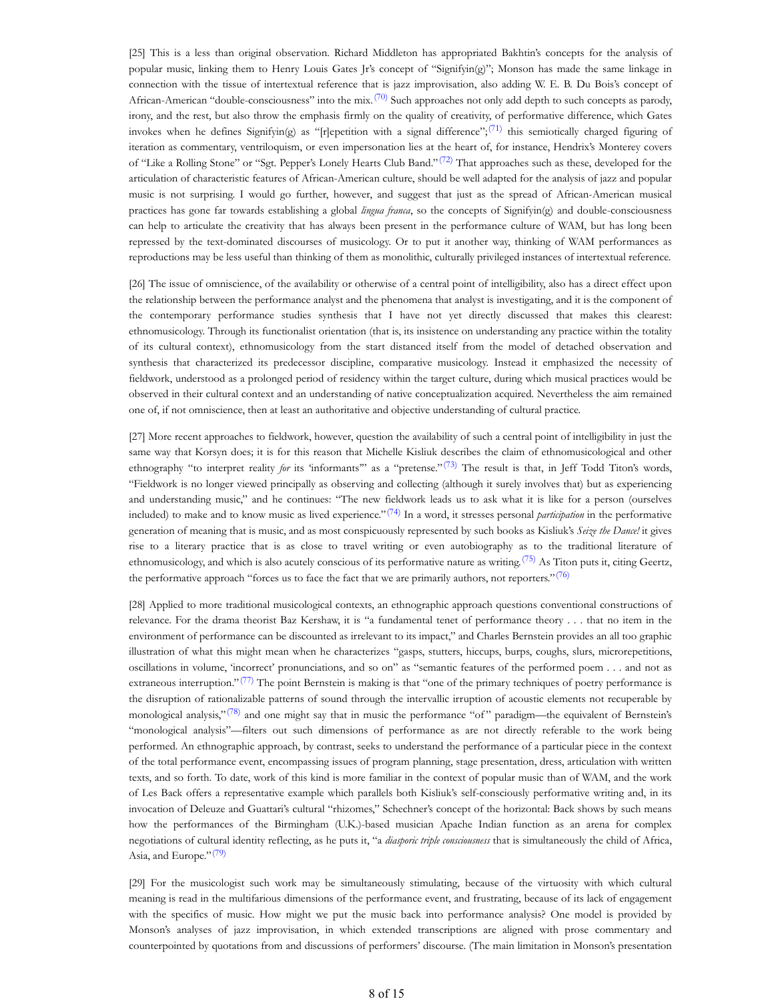[25] This is a less than original observation. Richard Middleton has appropriated Bakhtin's concepts for the analysis of popular music, linking them to Henry Louis Gates Jr's concept of "Signifyin(g)"; Monson has made the same linkage in connection with the tissue of intertextual reference that is jazz improvisation, also adding W. E. B. Du Bois's concept of African-American "double-consciousness" into the mix.<sup>(70)</sup> Such approaches not only add depth to such concepts as parody, irony, and the rest, but also throw the emphasis firmly on the quality of creativity, of performative difference, which Gates invokes when he defines Signifyin(g) as "[r]epetition with a signal difference";<sup>(71)</sup> this semiotically charged figuring of iteration as commentary, ventriloquism, or even impersonation lies at the heart of, for instance, Hendrix's Monterey covers of "Like a Rolling Stone" or "Sgt. Pepper's Lonely Hearts Club Band."<sup>(72)</sup> That approaches such as these, developed for the articulation of characteristic features of African-American culture, should be well adapted for the analysis of jazz and popular music is not surprising. I would go further, however, and suggest that just as the spread of African-American musical practices has gone far towards establishing a global *lingua franca*, so the concepts of Signifyin(g) and double-consciousness can help to articulate the creativity that has always been present in the performance culture of WAM, but has long been repressed by the text-dominated discourses of musicology. Or to put it another way, thinking of WAM performances as reproductions may be less useful than thinking of them as monolithic, culturally privileged instances of intertextual reference.

[26] The issue of omniscience, of the availability or otherwise of a central point of intelligibility, also has a direct effect upon the relationship between the performance analyst and the phenomena that analyst is investigating, and it is the component of the contemporary performance studies synthesis that I have not yet directly discussed that makes this clearest: ethnomusicology. Through its functionalist orientation (that is, its insistence on understanding any practice within the totality of its cultural context), ethnomusicology from the start distanced itself from the model of detached observation and synthesis that characterized its predecessor discipline, comparative musicology. Instead it emphasized the necessity of fieldwork, understood as a prolonged period of residency within the target culture, during which musical practices would be observed in their cultural context and an understanding of native conceptualization acquired. Nevertheless the aim remained one of, if not omniscience, then at least an authoritative and objective understanding of cultural practice.

[27] More recent approaches to fieldwork, however, question the availability of such a central point of intelligibility in just the same way that Korsyn does; it is for this reason that Michelle Kisliuk describes the claim of ethnomusicological and other ethnography "to interpret reality *for* its 'informants'" as a "pretense."<sup>(73)</sup> The result is that, in Jeff Todd Titon's words, "Fieldwork is no longer viewed principally as observing and collecting (although it surely involves that) but as experiencing and understanding music," and he continues: "The new fieldwork leads us to ask what it is like for a person (ourselves included) to make and to know music as lived experience."<sup>(74)</sup> In a word, it stresses personal *participation* in the performative generation of meaning that is music, and as most conspicuously represented by such books as Kisliuk's *Seize the Dance!* it gives rise to a literary practice that is as close to travel writing or even autobiography as to the traditional literature of ethnomusicology, and which is also acutely conscious of its performative nature as writing.<sup>(75)</sup> As Titon puts it, citing Geertz, the performative approach "forces us to face the fact that we are primarily authors, not reporters." $(76)$ 

[28] Applied to more traditional musicological contexts, an ethnographic approach questions conventional constructions of relevance. For the drama theorist Baz Kershaw, it is "a fundamental tenet of performance theory . . . that no item in the environment of performance can be discounted as irrelevant to its impact," and Charles Bernstein provides an all too graphic illustration of what this might mean when he characterizes "gasps, stutters, hiccups, burps, coughs, slurs, microrepetitions, oscillations in volume, 'incorrect' pronunciations, and so on" as "semantic features of the performed poem . . . and not as extraneous interruption." $(77)$  The point Bernstein is making is that "one of the primary techniques of poetry performance is the disruption of rationalizable patterns of sound through the intervallic irruption of acoustic elements not recuperable by monological analysis," $(78)$  and one might say that in music the performance "of" paradigm—the equivalent of Bernstein's "monological analysis"—filters out such dimensions of performance as are not directly referable to the work being performed. An ethnographic approach, by contrast, seeks to understand the performance of a particular piece in the context of the total performance event, encompassing issues of program planning, stage presentation, dress, articulation with written texts, and so forth. To date, work of this kind is more familiar in the context of popular music than of WAM, and the work of Les Back offers a representative example which parallels both Kisliuk's self-consciously performative writing and, in its invocation of Deleuze and Guattari's cultural "rhizomes," Schechner's concept of the horizontal: Back shows by such means how the performances of the Birmingham (U.K.)-based musician Apache Indian function as an arena for complex negotiations of cultural identity reflecting, as he puts it, "a *diasporic triple consciousness* that is simultaneously the child of Africa, Asia, and Europe."<sup>(79)</sup>

[29] For the musicologist such work may be simultaneously stimulating, because of the virtuosity with which cultural meaning is read in the multifarious dimensions of the performance event, and frustrating, because of its lack of engagement with the specifics of music. How might we put the music back into performance analysis? One model is provided by Monson's analyses of jazz improvisation, in which extended transcriptions are aligned with prose commentary and counterpointed by quotations from and discussions of performers' discourse. (The main limitation in Monson's presentation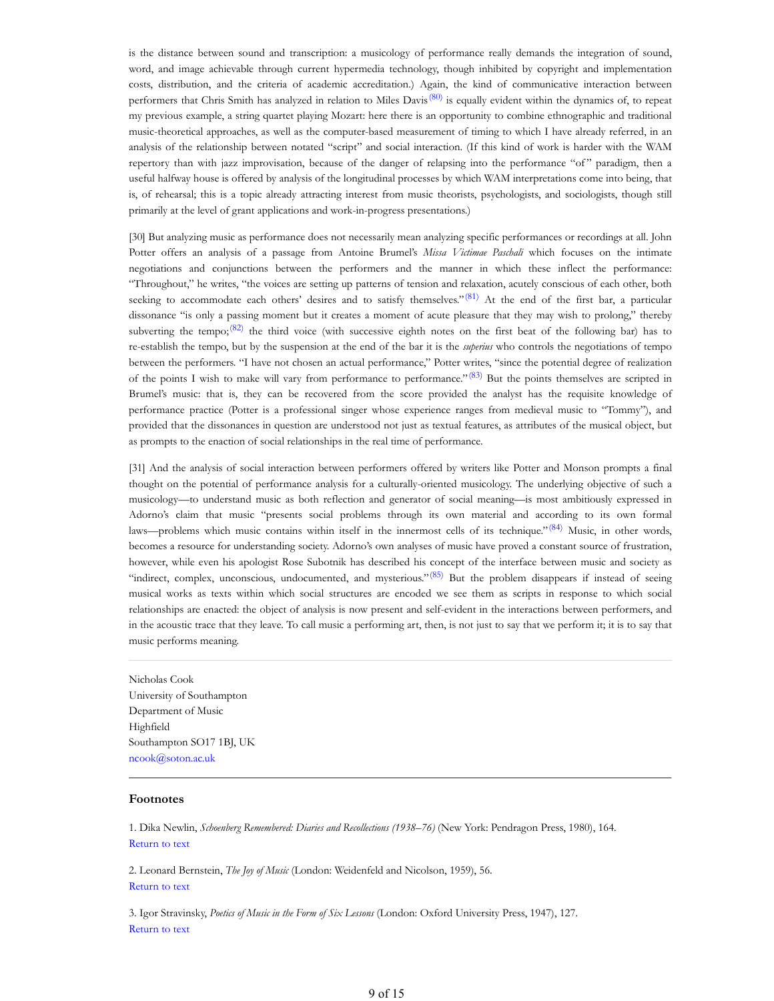is the distance between sound and transcription: a musicology of performance really demands the integration of sound, word, and image achievable through current hypermedia technology, though inhibited by copyright and implementation costs, distribution, and the criteria of academic accreditation.) Again, the kind of communicative interaction between performers that Chris Smith has analyzed in relation to Miles Davis $(80)$  is equally evident within the dynamics of, to repeat my previous example, a string quartet playing Mozart: here there is an opportunity to combine ethnographic and traditional music-theoretical approaches, as well as the computer-based measurement of timing to which I have already referred, in an analysis of the relationship between notated "script" and social interaction. (If this kind of work is harder with the WAM repertory than with jazz improvisation, because of the danger of relapsing into the performance "of" paradigm, then a useful halfway house is offered by analysis of the longitudinal processes by which WAM interpretations come into being, that is, of rehearsal; this is a topic already attracting interest from music theorists, psychologists, and sociologists, though still primarily at the level of grant applications and work-in-progress presentations.)

[30] But analyzing music as performance does not necessarily mean analyzing specific performances or recordings at all. John Potter offers an analysis of a passage from Antoine Brumel's *Missa Victimae Paschali* which focuses on the intimate negotiations and conjunctions between the performers and the manner in which these inflect the performance: "Throughout," he writes, "the voices are setting up patterns of tension and relaxation, acutely conscious of each other, both seeking to accommodate each others' desires and to satisfy themselves." $(81)$  At the end of the first bar, a particular dissonance "is only a passing moment but it creates a moment of acute pleasure that they may wish to prolong," thereby subverting the tempo; $(82)$  the third voice (with successive eighth notes on the first beat of the following bar) has to re-establish the tempo, but by the suspension at the end of the bar it is the *superius* who controls the negotiations of tempo between the performers. "I have not chosen an actual performance," Potter writes, "since the potential degree of realization of the points I wish to make will vary from performance to performance." $(83)$  But the points themselves are scripted in Brumel's music: that is, they can be recovered from the score provided the analyst has the requisite knowledge of performance practice (Potter is a professional singer whose experience ranges from medieval music to "Tommy"), and provided that the dissonances in question are understood not just as textual features, as attributes of the musical object, but as prompts to the enaction of social relationships in the real time of performance.

[31] And the analysis of social interaction between performers offered by writers like Potter and Monson prompts a final thought on the potential of performance analysis for a culturally-oriented musicology. The underlying objective of such a musicology—to understand music as both reflection and generator of social meaning—is most ambitiously expressed in Adorno's claim that music "presents social problems through its own material and according to its own formal laws—problems which music contains within itself in the innermost cells of its technique."(84) Music, in other words, becomes a resource for understanding society. Adorno's own analyses of music have proved a constant source of frustration, however, while even his apologist Rose Subotnik has described his concept of the interface between music and society as "indirect, complex, unconscious, undocumented, and mysterious." $(85)$  But the problem disappears if instead of seeing musical works as texts within which social structures are encoded we see them as scripts in response to which social relationships are enacted: the object of analysis is now present and self-evident in the interactions between performers, and in the acoustic trace that they leave. To call music a performing art, then, is not just to say that we perform it; it is to say that music performs meaning.

Nicholas Cook University of Southampton Department of Music Highfield Southampton SO17 1BJ, UK ncook@soton.ac.uk

# **Footnotes**

1. Dika Newlin, *Schoenberg Remembered: Diaries and Recollections (1938–76)* (New York: Pendragon Press, 1980), 164. Return to text

2. Leonard Bernstein, *The Joy of Music* (London: Weidenfeld and Nicolson, 1959), 56. Return to text

3. Igor Stravinsky, *Poetics of Music in the Form of Six Lessons* (London: Oxford University Press, 1947), 127. Return to text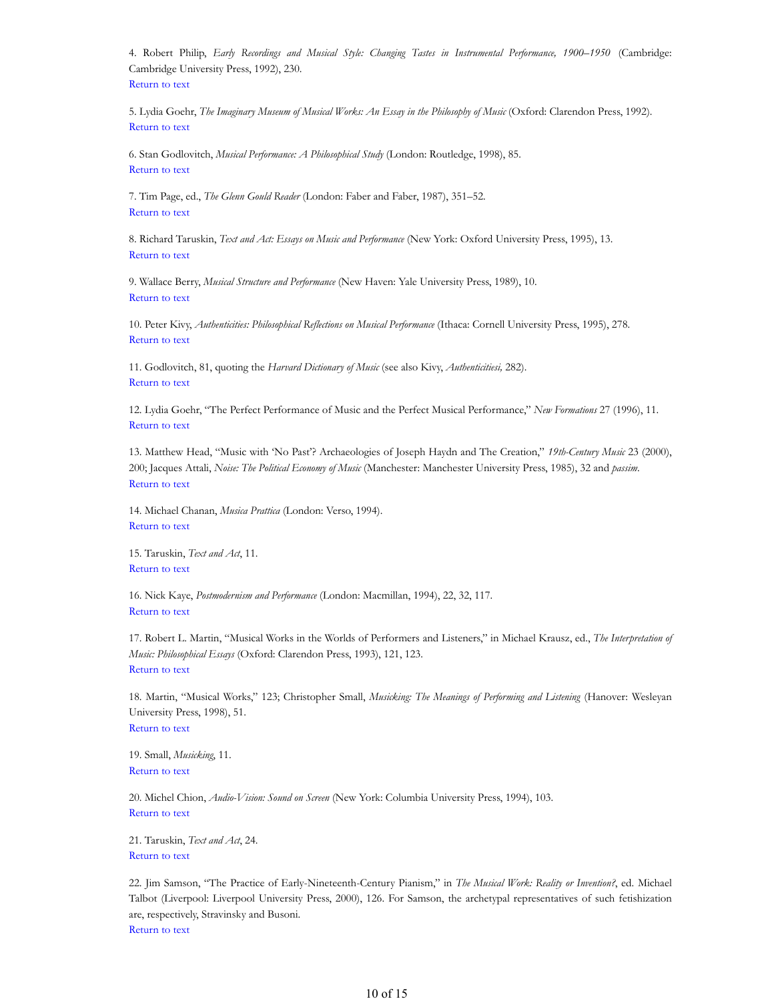4. Robert Philip, *Early Recordings and Musical Style: Changing Tastes in Instrumental Performance, 1900–1950* (Cambridge: Cambridge University Press, 1992), 230. Return to text

5. Lydia Goehr, *The Imaginary Museum of Musical Works: An Essay in the Philosophy of Music* (Oxford: Clarendon Press, 1992). Return to text

6. Stan Godlovitch, *Musical Performance: A Philosophical Study* (London: Routledge, 1998), 85. Return to text

7. Tim Page, ed., *The Glenn Gould Reader* (London: Faber and Faber, 1987), 351–52. Return to text

8. Richard Taruskin, *Text and Act: Essays on Music and Performance* (New York: Oxford University Press, 1995), 13. Return to text

9. Wallace Berry, *Musical Structure and Performance* (New Haven: Yale University Press, 1989), 10. Return to text

10. Peter Kivy, *Authenticities: Philosophical Reflections on Musical Performance* (Ithaca: Cornell University Press, 1995), 278. Return to text

11. Godlovitch, 81, quoting the *Harvard Dictionary of Music* (see also Kivy, *Authenticitiesi,* 282). Return to text

12. Lydia Goehr, "The Perfect Performance of Music and the Perfect Musical Performance," *New Formations* 27 (1996), 11. Return to text

13. Matthew Head, "Music with 'No Past'? Archaeologies of Joseph Haydn and The Creation," *19th-Century Music* 23 (2000), 200; Jacques Attali, *Noise: The Political Economy of Music* (Manchester: Manchester University Press, 1985), 32 and *passim*. Return to text

14. Michael Chanan, *Musica Prattica* (London: Verso, 1994). Return to text

15. Taruskin, *Text and Act*, 11. Return to text

16. Nick Kaye, *Postmodernism and Performance* (London: Macmillan, 1994), 22, 32, 117. Return to text

17. Robert L. Martin, "Musical Works in the Worlds of Performers and Listeners," in Michael Krausz, ed., *The Interpretation of Music: Philosophical Essays* (Oxford: Clarendon Press, 1993), 121, 123. Return to text

18. Martin, "Musical Works," 123; Christopher Small, *Musicking: The Meanings of Performing and Listening* (Hanover: Wesleyan University Press, 1998), 51.

Return to text

19. Small, *Musicking*, 11. Return to text

20. Michel Chion, *Audio-Vision: Sound on Screen* (New York: Columbia University Press, 1994), 103. Return to text

21. Taruskin, *Text and Act*, 24. Return to text

22. Jim Samson, "The Practice of Early-Nineteenth-Century Pianism," in *The Musical Work: Reality or Invention?*, ed. Michael Talbot (Liverpool: Liverpool University Press, 2000), 126. For Samson, the archetypal representatives of such fetishization are, respectively, Stravinsky and Busoni. Return to text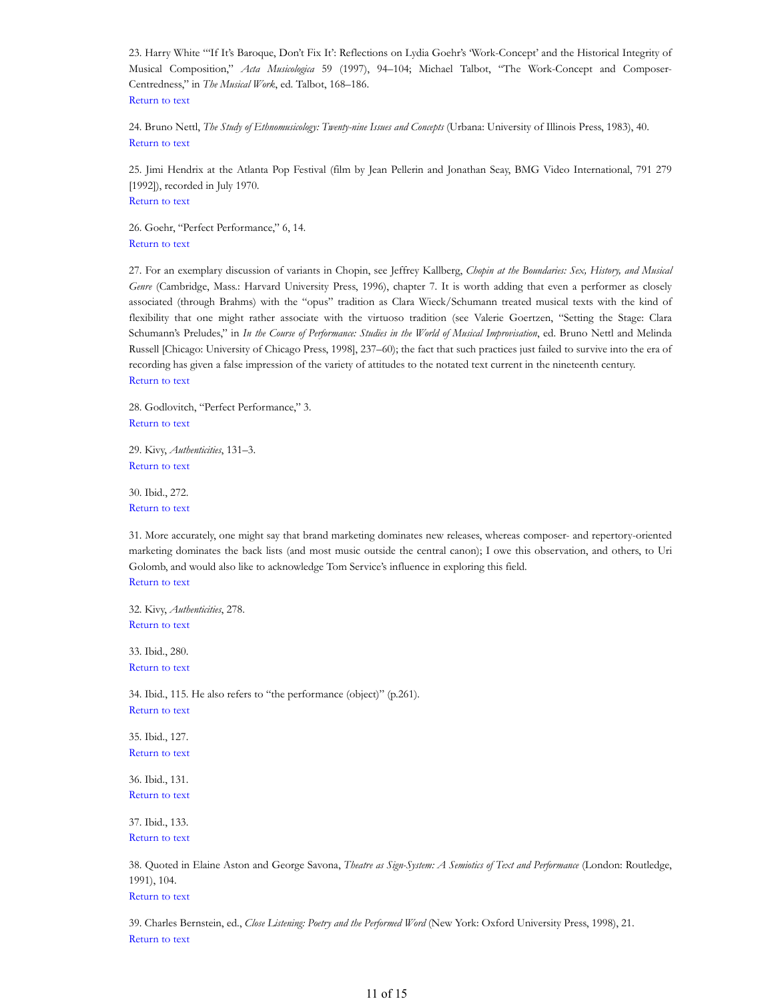23. Harry White "'If It's Baroque, Don't Fix It': Reflections on Lydia Goehr's 'Work-Concept' and the Historical Integrity of Musical Composition," *Acta Musicologica* 59 (1997), 94–104; Michael Talbot, "The Work-Concept and Composer-Centredness," in *The Musical Work*, ed. Talbot, 168–186. Return to text

24. Bruno Nettl, *The Study of Ethnomusicology: Twenty-nine Issues and Concepts* (Urbana: University of Illinois Press, 1983), 40. Return to text

25. Jimi Hendrix at the Atlanta Pop Festival (film by Jean Pellerin and Jonathan Seay, BMG Video International, 791 279 [1992]), recorded in July 1970. Return to text

26. Goehr, "Perfect Performance," 6, 14. Return to text

27. For an exemplary discussion of variants in Chopin, see Jeffrey Kallberg, *Chopin at the Boundaries: Sex, History, and Musical Genre* (Cambridge, Mass.: Harvard University Press, 1996), chapter 7. It is worth adding that even a performer as closely associated (through Brahms) with the "opus" tradition as Clara Wieck/Schumann treated musical texts with the kind of flexibility that one might rather associate with the virtuoso tradition (see Valerie Goertzen, "Setting the Stage: Clara Schumann's Preludes," in *In the Course of Performance: Studies in the World of Musical Improvisation*, ed. Bruno Nettl and Melinda Russell [Chicago: University of Chicago Press, 1998], 237–60); the fact that such practices just failed to survive into the era of recording has given a false impression of the variety of attitudes to the notated text current in the nineteenth century. Return to text

28. Godlovitch, "Perfect Performance," 3. Return to text

29. Kivy, *Authenticities*, 131–3. Return to text

30. Ibid., 272. Return to text

31. More accurately, one might say that brand marketing dominates new releases, whereas composer- and repertory-oriented marketing dominates the back lists (and most music outside the central canon); I owe this observation, and others, to Uri Golomb, and would also like to acknowledge Tom Service's influence in exploring this field. Return to text

32. Kivy, *Authenticities*, 278. Return to text

33. Ibid., 280. Return to text

34. Ibid., 115. He also refers to "the performance (object)" (p.261). Return to text

35. Ibid., 127. Return to text

36. Ibid., 131. Return to text

37. Ibid., 133. Return to text

38. Quoted in Elaine Aston and George Savona, *Theatre as Sign-System: A Semiotics of Text and Performance* (London: Routledge, 1991), 104. Return to text

39. Charles Bernstein, ed., *Close Listening: Poetry and the Performed Word* (New York: Oxford University Press, 1998), 21. Return to text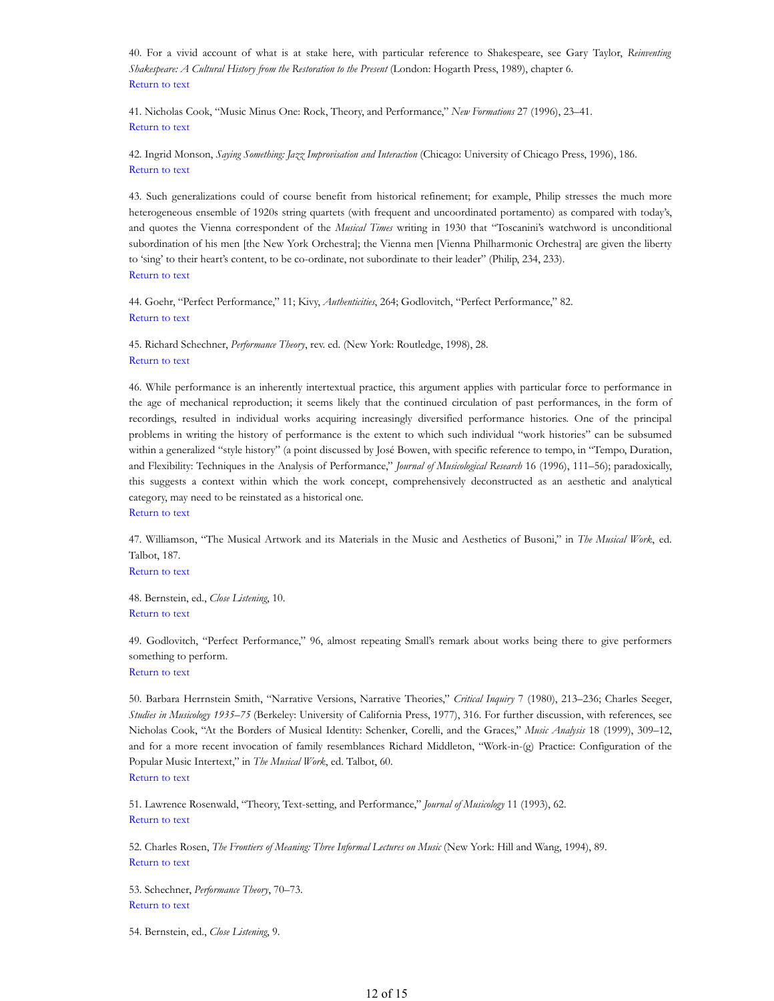40. For a vivid account of what is at stake here, with particular reference to Shakespeare, see Gary Taylor, *Reinventing Shakespeare: A Cultural History from the Restoration to the Present* (London: Hogarth Press, 1989), chapter 6. Return to text

41. Nicholas Cook, "Music Minus One: Rock, Theory, and Performance," *New Formations* 27 (1996), 23–41. Return to text

42. Ingrid Monson, *Saying Something: Jazz Improvisation and Interaction* (Chicago: University of Chicago Press, 1996), 186. Return to text

43. Such generalizations could of course benefit from historical refinement; for example, Philip stresses the much more heterogeneous ensemble of 1920s string quartets (with frequent and uncoordinated portamento) as compared with today's, and quotes the Vienna correspondent of the *Musical Times* writing in 1930 that "Toscanini's watchword is unconditional subordination of his men [the New York Orchestra]; the Vienna men [Vienna Philharmonic Orchestra] are given the liberty to 'sing' to their heart's content, to be co-ordinate, not subordinate to their leader" (Philip, 234, 233). Return to text

44. Goehr, "Perfect Performance," 11; Kivy, *Authenticities*, 264; Godlovitch, "Perfect Performance," 82. Return to text

45. Richard Schechner, *Performance Theory*, rev. ed. (New York: Routledge, 1998), 28. Return to text

46. While performance is an inherently intertextual practice, this argument applies with particular force to performance in the age of mechanical reproduction; it seems likely that the continued circulation of past performances, in the form of recordings, resulted in individual works acquiring increasingly diversified performance histories. One of the principal problems in writing the history of performance is the extent to which such individual "work histories" can be subsumed within a generalized "style history" (a point discussed by José Bowen, with specific reference to tempo, in "Tempo, Duration, and Flexibility: Techniques in the Analysis of Performance," *Journal of Musicological Research* 16 (1996), 111–56); paradoxically, this suggests a context within which the work concept, comprehensively deconstructed as an aesthetic and analytical category, may need to be reinstated as a historical one.

Return to text

47. Williamson, "The Musical Artwork and its Materials in the Music and Aesthetics of Busoni," in *The Musical Work*, ed. Talbot, 187.

Return to text

48. Bernstein, ed., *Close Listening*, 10. Return to text

49. Godlovitch, "Perfect Performance," 96, almost repeating Small's remark about works being there to give performers something to perform.

Return to text

50. Barbara Herrnstein Smith, "Narrative Versions, Narrative Theories," *Critical Inquiry* 7 (1980), 213–236; Charles Seeger, *Studies in Musicology 1935–75* (Berkeley: University of California Press, 1977), 316. For further discussion, with references, see Nicholas Cook, "At the Borders of Musical Identity: Schenker, Corelli, and the Graces," *Music Analysis* 18 (1999), 309–12, and for a more recent invocation of family resemblances Richard Middleton, "Work-in-(g) Practice: Configuration of the Popular Music Intertext," in *The Musical Work*, ed. Talbot, 60. Return to text

51. Lawrence Rosenwald, "Theory, Text-setting, and Performance," *Journal of Musicology* 11 (1993), 62. Return to text

52. Charles Rosen, *The Frontiers of Meaning: Three Informal Lectures on Music* (New York: Hill and Wang, 1994), 89. Return to text

53. Schechner, *Performance Theory*, 70–73. Return to text

54. Bernstein, ed., *Close Listening*, 9.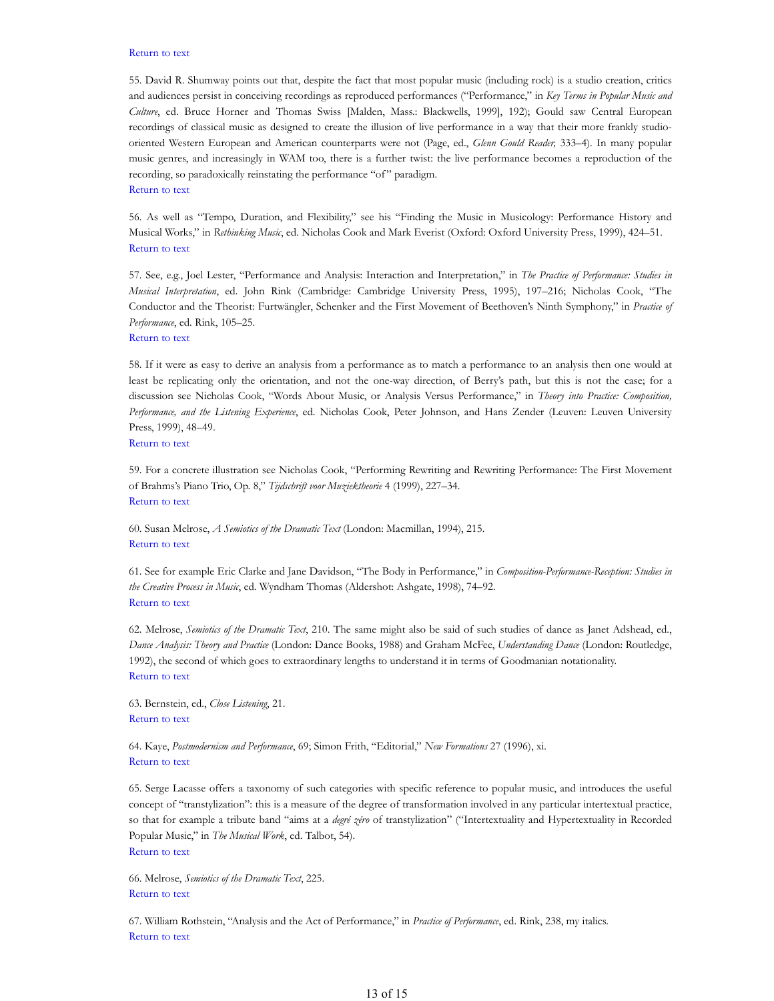#### Return to text

55. David R. Shumway points out that, despite the fact that most popular music (including rock) is a studio creation, critics and audiences persist in conceiving recordings as reproduced performances ("Performance," in *Key Terms in Popular Music and Culture*, ed. Bruce Horner and Thomas Swiss [Malden, Mass.: Blackwells, 1999], 192); Gould saw Central European recordings of classical music as designed to create the illusion of live performance in a way that their more frankly studiooriented Western European and American counterparts were not (Page, ed., *Glenn Gould Reader,* 333–4). In many popular music genres, and increasingly in WAM too, there is a further twist: the live performance becomes a reproduction of the recording, so paradoxically reinstating the performance "of" paradigm. Return to text

56. As well as "Tempo, Duration, and Flexibility," see his "Finding the Music in Musicology: Performance History and Musical Works," in *Rethinking Music*, ed. Nicholas Cook and Mark Everist (Oxford: Oxford University Press, 1999), 424–51. Return to text

57. See, e.g., Joel Lester, "Performance and Analysis: Interaction and Interpretation," in *The Practice of Performance: Studies in Musical Interpretation*, ed. John Rink (Cambridge: Cambridge University Press, 1995), 197–216; Nicholas Cook, "The Conductor and the Theorist: Furtwängler, Schenker and the First Movement of Beethoven's Ninth Symphony," in *Practice of Performance*, ed. Rink, 105–25.

Return to text

58. If it were as easy to derive an analysis from a performance as to match a performance to an analysis then one would at least be replicating only the orientation, and not the one-way direction, of Berry's path, but this is not the case; for a discussion see Nicholas Cook, "Words About Music, or Analysis Versus Performance," in *Theory into Practice: Composition, Performance, and the Listening Experience*, ed. Nicholas Cook, Peter Johnson, and Hans Zender (Leuven: Leuven University Press, 1999), 48–49. Return to text

59. For a concrete illustration see Nicholas Cook, "Performing Rewriting and Rewriting Performance: The First Movement of Brahms's Piano Trio, Op. 8," *Tijdschrift voor Muziektheorie* 4 (1999), 227–34. Return to text

60. Susan Melrose, *A Semiotics of the Dramatic Text* (London: Macmillan, 1994), 215. Return to text

61. See for example Eric Clarke and Jane Davidson, "The Body in Performance," in *Composition-Performance-Reception: Studies in the Creative Process in Music*, ed. Wyndham Thomas (Aldershot: Ashgate, 1998), 74–92. Return to text

62. Melrose, *Semiotics of the Dramatic Text*, 210. The same might also be said of such studies of dance as Janet Adshead, ed., *Dance Analysis: Theory and Practice* (London: Dance Books, 1988) and Graham McFee, *Understanding Dance* (London: Routledge, 1992), the second of which goes to extraordinary lengths to understand it in terms of Goodmanian notationality. Return to text

63. Bernstein, ed., *Close Listening*, 21. Return to text

64. Kaye, *Postmodernism and Performance*, 69; Simon Frith, "Editorial," *New Formations* 27 (1996), xi. Return to text

65. Serge Lacasse offers a taxonomy of such categories with specific reference to popular music, and introduces the useful concept of "transtylization": this is a measure of the degree of transformation involved in any particular intertextual practice, so that for example a tribute band "aims at a *degré zéro* of transtylization" ("Intertextuality and Hypertextuality in Recorded Popular Music," in *The Musical Work*, ed. Talbot, 54). Return to text

66. Melrose, *Semiotics of the Dramatic Text*, 225. Return to text

67. William Rothstein, "Analysis and the Act of Performance," in *Practice of Performance*, ed. Rink, 238, my italics. Return to text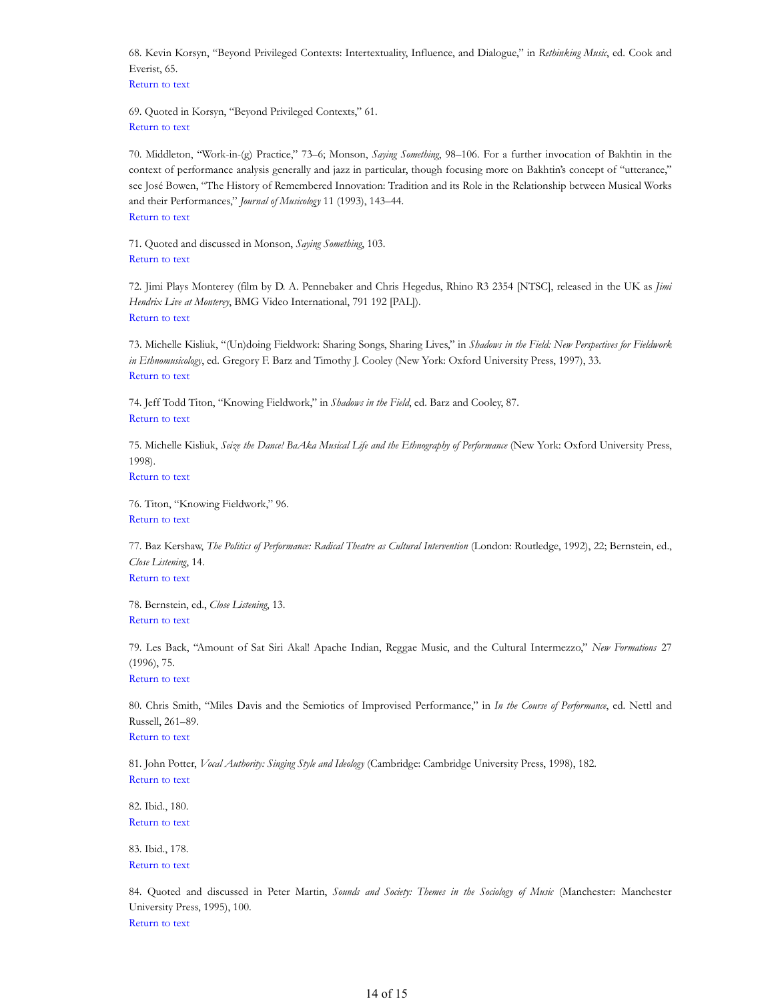68. Kevin Korsyn, "Beyond Privileged Contexts: Intertextuality, Influence, and Dialogue," in *Rethinking Music*, ed. Cook and Everist, 65.

Return to text

69. Quoted in Korsyn, "Beyond Privileged Contexts," 61. Return to text

70. Middleton, "Work-in-(g) Practice," 73–6; Monson, *Saying Something*, 98–106. For a further invocation of Bakhtin in the context of performance analysis generally and jazz in particular, though focusing more on Bakhtin's concept of "utterance," see José Bowen, "The History of Remembered Innovation: Tradition and its Role in the Relationship between Musical Works and their Performances," *Journal of Musicology* 11 (1993), 143–44. Return to text

71. Quoted and discussed in Monson, *Saying Something*, 103. Return to text

72. Jimi Plays Monterey (film by D. A. Pennebaker and Chris Hegedus, Rhino R3 2354 [NTSC], released in the UK as *Jimi Hendrix Live at Monterey*, BMG Video International, 791 192 [PAL]). Return to text

73. Michelle Kisliuk, "(Un)doing Fieldwork: Sharing Songs, Sharing Lives," in *Shadows in the Field: New Perspectives for Fieldwork in Ethnomusicology*, ed. Gregory F. Barz and Timothy J. Cooley (New York: Oxford University Press, 1997), 33. Return to text

74. Jeff Todd Titon, "Knowing Fieldwork," in *Shadows in the Field*, ed. Barz and Cooley, 87. Return to text

75. Michelle Kisliuk, *Seize the Dance! BaAka Musical Life and the Ethnography of Performance* (New York: Oxford University Press, 1998).

Return to text

76. Titon, "Knowing Fieldwork," 96. Return to text

77. Baz Kershaw, *The Politics of Performance: Radical Theatre as Cultural Intervention* (London: Routledge, 1992), 22; Bernstein, ed., *Close Listening*, 14. Return to text

78. Bernstein, ed., *Close Listening*, 13. Return to text

79. Les Back, "Amount of Sat Siri Akal! Apache Indian, Reggae Music, and the Cultural Intermezzo," *New Formations* 27 (1996), 75.

Return to text

80. Chris Smith, "Miles Davis and the Semiotics of Improvised Performance," in *In the Course of Performance*, ed. Nettl and Russell, 261–89. Return to text

81. John Potter, *Vocal Authority: Singing Style and Ideology* (Cambridge: Cambridge University Press, 1998), 182. Return to text

82. Ibid., 180. Return to text

83. Ibid., 178. Return to text

84. Quoted and discussed in Peter Martin, *Sounds and Society: Themes in the Sociology of Music* (Manchester: Manchester University Press, 1995), 100. Return to text